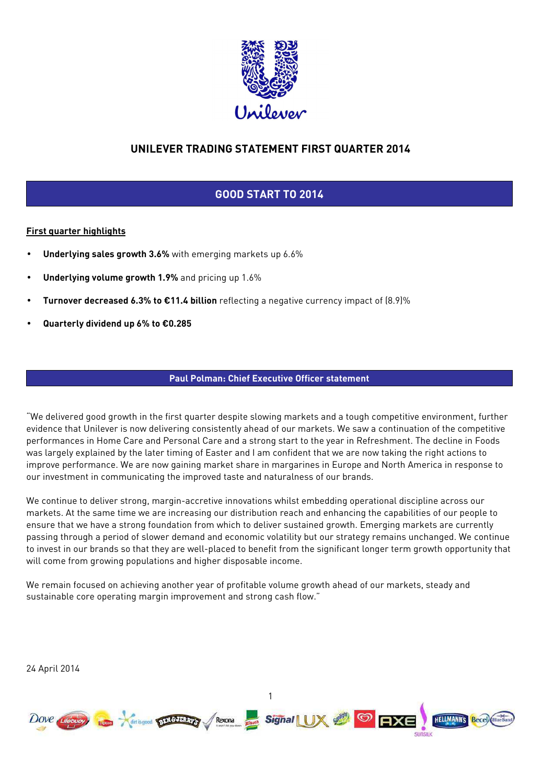

# **UNILEVER TRADING STATEMENT FIRST QUARTER 2014**

# **GOOD START TO 2014**

# **First quarter highlights**

- **Underlying sales growth 3.6%** with emerging markets up 6.6%
- **Underlying volume growth 1.9%** and pricing up 1.6%
- **Turnover decreased 6.3% to €11.4 billion** reflecting a negative currency impact of (8.9)%
- **Quarterly dividend up 6% to €0.285**

## **Paul Polman: Chief Executive Officer statement**

"We delivered good growth in the first quarter despite slowing markets and a tough competitive environment, further evidence that Unilever is now delivering consistently ahead of our markets. We saw a continuation of the competitive performances in Home Care and Personal Care and a strong start to the year in Refreshment. The decline in Foods was largely explained by the later timing of Easter and I am confident that we are now taking the right actions to improve performance. We are now gaining market share in margarines in Europe and North America in response to our investment in communicating the improved taste and naturalness of our brands.

We continue to deliver strong, margin-accretive innovations whilst embedding operational discipline across our markets. At the same time we are increasing our distribution reach and enhancing the capabilities of our people to ensure that we have a strong foundation from which to deliver sustained growth. Emerging markets are currently passing through a period of slower demand and economic volatility but our strategy remains unchanged. We continue to invest in our brands so that they are well-placed to benefit from the significant longer term growth opportunity that will come from growing populations and higher disposable income.

We remain focused on achieving another year of profitable volume growth ahead of our markets, steady and sustainable core operating margin improvement and strong cash flow."

24 April 2014



1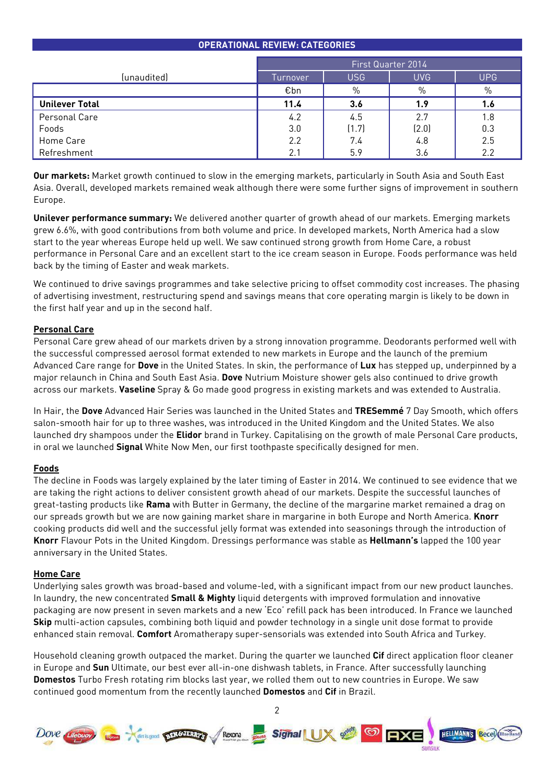# **OPERATIONAL REVIEW: CATEGORIES**

|                       | First Quarter 2014 |            |            |            |
|-----------------------|--------------------|------------|------------|------------|
| (unaudited)           | Turnover           | <b>USG</b> | <b>UVG</b> | <b>UPG</b> |
|                       | €bn                | $\%$       | %          | $\%$       |
| <b>Unilever Total</b> | 11.4               | 3.6        | 1.9        | 1.6        |
| Personal Care         | 4.2                | 4.5        | 2.7        | 1.8        |
| Foods                 | 3.0                | (1.7)      | (2.0)      | 0.3        |
| Home Care             | 2.2                | 7.4        | 4.8        | 2.5        |
| Refreshment           | 2.1                | 5.9        | 3.6        | 2.2        |

**Our markets:** Market growth continued to slow in the emerging markets, particularly in South Asia and South East Asia. Overall, developed markets remained weak although there were some further signs of improvement in southern Europe.

**Unilever performance summary:** We delivered another quarter of growth ahead of our markets. Emerging markets grew 6.6%, with good contributions from both volume and price. In developed markets, North America had a slow start to the year whereas Europe held up well. We saw continued strong growth from Home Care, a robust performance in Personal Care and an excellent start to the ice cream season in Europe. Foods performance was held back by the timing of Easter and weak markets.

We continued to drive savings programmes and take selective pricing to offset commodity cost increases. The phasing of advertising investment, restructuring spend and savings means that core operating margin is likely to be down in the first half year and up in the second half.

# **Personal Care**

Personal Care grew ahead of our markets driven by a strong innovation programme. Deodorants performed well with the successful compressed aerosol format extended to new markets in Europe and the launch of the premium Advanced Care range for **Dove** in the United States. In skin, the performance of **Lux** has stepped up, underpinned by a major relaunch in China and South East Asia. **Dove** Nutrium Moisture shower gels also continued to drive growth across our markets. **Vaseline** Spray & Go made good progress in existing markets and was extended to Australia.

In Hair, the **Dove** Advanced Hair Series was launched in the United States and **TRESemmé** 7 Day Smooth, which offers salon-smooth hair for up to three washes, was introduced in the United Kingdom and the United States. We also launched dry shampoos under the **Elidor** brand in Turkey. Capitalising on the growth of male Personal Care products, in oral we launched **Signal** White Now Men, our first toothpaste specifically designed for men.

## **Foods**

The decline in Foods was largely explained by the later timing of Easter in 2014. We continued to see evidence that we are taking the right actions to deliver consistent growth ahead of our markets. Despite the successful launches of great-tasting products like **Rama** with Butter in Germany, the decline of the margarine market remained a drag on our spreads growth but we are now gaining market share in margarine in both Europe and North America. **Knorr** cooking products did well and the successful jelly format was extended into seasonings through the introduction of **Knorr** Flavour Pots in the United Kingdom. Dressings performance was stable as **Hellmann's** lapped the 100 year anniversary in the United States.

## **Home Care**

Underlying sales growth was broad-based and volume-led, with a significant impact from our new product launches. In laundry, the new concentrated **Small & Mighty** liquid detergents with improved formulation and innovative packaging are now present in seven markets and a new 'Eco' refill pack has been introduced. In France we launched **Skip** multi-action capsules, combining both liquid and powder technology in a single unit dose format to provide enhanced stain removal. **Comfort** Aromatherapy super-sensorials was extended into South Africa and Turkey.

Household cleaning growth outpaced the market. During the quarter we launched **Cif** direct application floor cleaner in Europe and **Sun** Ultimate, our best ever all-in-one dishwash tablets, in France. After successfully launching **Domestos** Turbo Fresh rotating rim blocks last year, we rolled them out to new countries in Europe. We saw continued good momentum from the recently launched **Domestos** and **Cif** in Brazil.

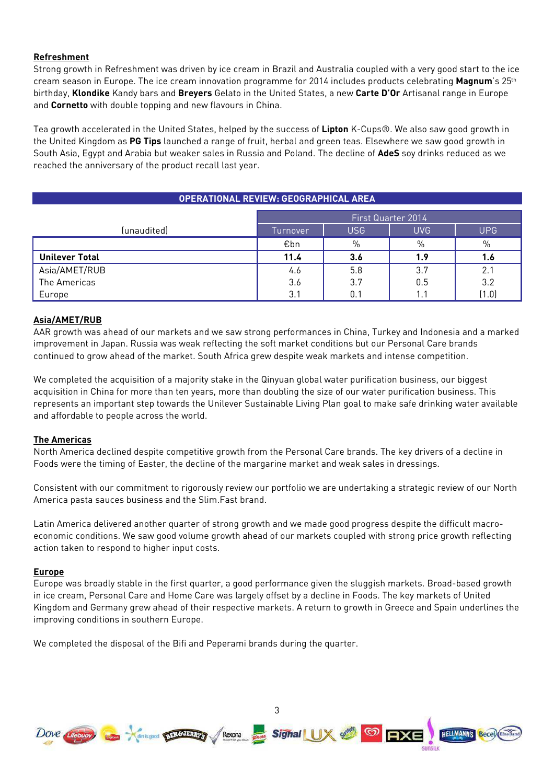## **Refreshment**

Strong growth in Refreshment was driven by ice cream in Brazil and Australia coupled with a very good start to the ice cream season in Europe. The ice cream innovation programme for 2014 includes products celebrating **Magnum**'s 25th birthday, **Klondike** Kandy bars and **Breyers** Gelato in the United States, a new **Carte D'Or** Artisanal range in Europe and **Cornetto** with double topping and new flavours in China.

Tea growth accelerated in the United States, helped by the success of **Lipton** K-Cups®. We also saw good growth in the United Kingdom as **PG Tips** launched a range of fruit, herbal and green teas. Elsewhere we saw good growth in South Asia, Egypt and Arabia but weaker sales in Russia and Poland. The decline of **AdeS** soy drinks reduced as we reached the anniversary of the product recall last year.

| <b>OPERATIONAL REVIEW: GEOGRAPHICAL AREA</b> |                                      |     |      |       |  |
|----------------------------------------------|--------------------------------------|-----|------|-------|--|
|                                              | First Quarter 2014                   |     |      |       |  |
| (unaudited)                                  | UPG<br>USG<br><b>UVG</b><br>Turnover |     |      |       |  |
|                                              | €bn                                  | %   | $\%$ | %     |  |
| <b>Unilever Total</b>                        | 11.4                                 | 3.6 | 1.9  | 1.6   |  |
| Asia/AMET/RUB                                | 4.6                                  | 5.8 | 3.7  | 2.1   |  |
| The Americas                                 | 3.6                                  | 3.7 | 0.5  | 3.2   |  |
| Europe                                       | 3.1                                  |     |      | (1.0) |  |

## **Asia/AMET/RUB**

AAR growth was ahead of our markets and we saw strong performances in China, Turkey and Indonesia and a marked improvement in Japan. Russia was weak reflecting the soft market conditions but our Personal Care brands continued to grow ahead of the market. South Africa grew despite weak markets and intense competition.

We completed the acquisition of a majority stake in the Qinyuan global water purification business, our biggest acquisition in China for more than ten years, more than doubling the size of our water purification business. This represents an important step towards the Unilever Sustainable Living Plan goal to make safe drinking water available and affordable to people across the world.

## **The Americas**

North America declined despite competitive growth from the Personal Care brands. The key drivers of a decline in Foods were the timing of Easter, the decline of the margarine market and weak sales in dressings.

Consistent with our commitment to rigorously review our portfolio we are undertaking a strategic review of our North America pasta sauces business and the Slim.Fast brand.

Latin America delivered another quarter of strong growth and we made good progress despite the difficult macroeconomic conditions. We saw good volume growth ahead of our markets coupled with strong price growth reflecting action taken to respond to higher input costs.

#### **Europe**

Europe was broadly stable in the first quarter, a good performance given the sluggish markets. Broad-based growth in ice cream, Personal Care and Home Care was largely offset by a decline in Foods. The key markets of United Kingdom and Germany grew ahead of their respective markets. A return to growth in Greece and Spain underlines the improving conditions in southern Europe.

We completed the disposal of the Bifi and Peperami brands during the quarter.

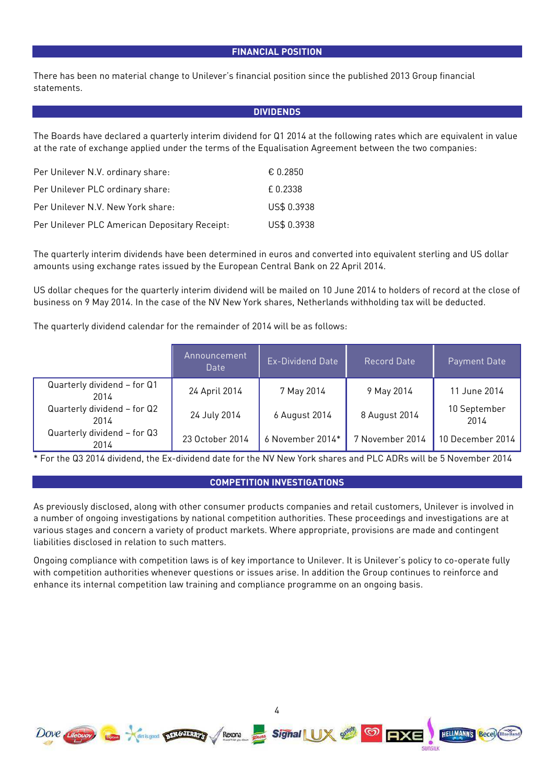#### **FINANCIAL POSITION**

There has been no material change to Unilever's financial position since the published 2013 Group financial statements.

#### **DIVIDENDS**

The Boards have declared a quarterly interim dividend for Q1 2014 at the following rates which are equivalent in value at the rate of exchange applied under the terms of the Equalisation Agreement between the two companies:

| Per Unilever N.V. ordinary share:             | € 0.2850    |
|-----------------------------------------------|-------------|
| Per Unilever PLC ordinary share:              | £0.2338     |
| Per Unilever N.V. New York share:             | US\$ 0.3938 |
| Per Unilever PLC American Depositary Receipt: | US\$ 0.3938 |

The quarterly interim dividends have been determined in euros and converted into equivalent sterling and US dollar amounts using exchange rates issued by the European Central Bank on 22 April 2014.

US dollar cheques for the quarterly interim dividend will be mailed on 10 June 2014 to holders of record at the close of business on 9 May 2014. In the case of the NV New York shares, Netherlands withholding tax will be deducted.

The quarterly dividend calendar for the remainder of 2014 will be as follows:

|                                     | Announcement<br>Date | <b>Ex-Dividend Date</b> | <b>Record Date</b> | Payment Date         |
|-------------------------------------|----------------------|-------------------------|--------------------|----------------------|
| Quarterly dividend - for Q1<br>2014 | 24 April 2014        | 7 May 2014              | 9 May 2014         | 11 June 2014         |
| Quarterly dividend - for Q2<br>2014 | 24 July 2014         | 6 August 2014           | 8 August 2014      | 10 September<br>2014 |
| Quarterly dividend - for Q3<br>2014 | 23 October 2014      | 6 November 2014*        | 7 November 2014    | 10 December 2014     |

\* For the Q3 2014 dividend, the Ex-dividend date for the NV New York shares and PLC ADRs will be 5 November 2014

#### **COMPETITION INVESTIGATIONS**

As previously disclosed, along with other consumer products companies and retail customers, Unilever is involved in a number of ongoing investigations by national competition authorities. These proceedings and investigations are at various stages and concern a variety of product markets. Where appropriate, provisions are made and contingent liabilities disclosed in relation to such matters.

Ongoing compliance with competition laws is of key importance to Unilever. It is Unilever's policy to co-operate fully with competition authorities whenever questions or issues arise. In addition the Group continues to reinforce and enhance its internal competition law training and compliance programme on an ongoing basis.



4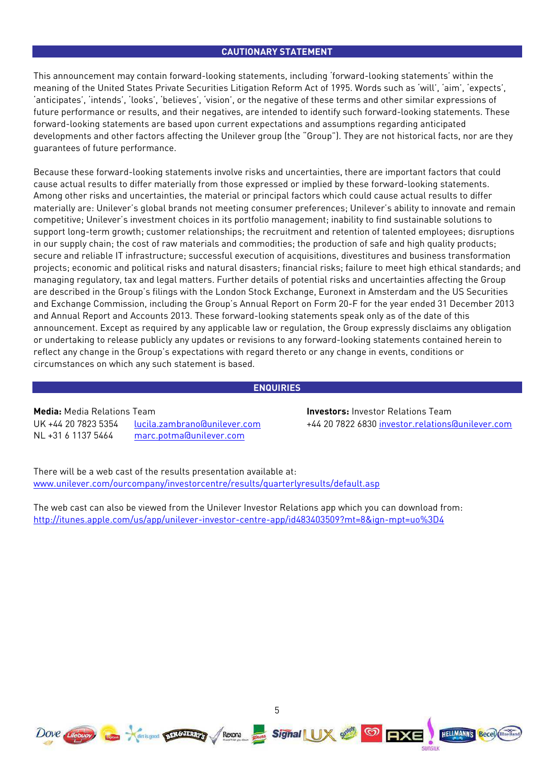#### **CAUTIONARY STATEMENT**

This announcement may contain forward-looking statements, including 'forward-looking statements' within the meaning of the United States Private Securities Litigation Reform Act of 1995. Words such as 'will', 'aim', 'expects', 'anticipates', 'intends', 'looks', 'believes', 'vision', or the negative of these terms and other similar expressions of future performance or results, and their negatives, are intended to identify such forward-looking statements. These forward-looking statements are based upon current expectations and assumptions regarding anticipated developments and other factors affecting the Unilever group (the "Group"). They are not historical facts, nor are they guarantees of future performance.

Because these forward-looking statements involve risks and uncertainties, there are important factors that could cause actual results to differ materially from those expressed or implied by these forward-looking statements. Among other risks and uncertainties, the material or principal factors which could cause actual results to differ materially are: Unilever's global brands not meeting consumer preferences; Unilever's ability to innovate and remain competitive; Unilever's investment choices in its portfolio management; inability to find sustainable solutions to support long-term growth; customer relationships; the recruitment and retention of talented employees; disruptions in our supply chain; the cost of raw materials and commodities; the production of safe and high quality products; secure and reliable IT infrastructure; successful execution of acquisitions, divestitures and business transformation projects; economic and political risks and natural disasters; financial risks; failure to meet high ethical standards; and managing regulatory, tax and legal matters. Further details of potential risks and uncertainties affecting the Group are described in the Group's filings with the London Stock Exchange, Euronext in Amsterdam and the US Securities and Exchange Commission, including the Group's Annual Report on Form 20-F for the year ended 31 December 2013 and Annual Report and Accounts 2013. These forward-looking statements speak only as of the date of this announcement. Except as required by any applicable law or regulation, the Group expressly disclaims any obligation or undertaking to release publicly any updates or revisions to any forward-looking statements contained herein to reflect any change in the Group's expectations with regard thereto or any change in events, conditions or circumstances on which any such statement is based.

# **ENQUIRIES**

5

#### **Media:** Media Relations Team

UK +44 20 7823 5354 lucila.zambrano@unilever.com NL +31 6 1137 5464 marc.potma@unilever.com

**Investors:** Investor Relations Team +44 20 7822 6830 investor.relations@unilever.com

 $\circ$   $\Box$ 

There will be a web cast of the results presentation available at: www.unilever.com/ourcompany/investorcentre/results/quarterlyresults/default.asp

The web cast can also be viewed from the Unilever Investor Relations app which you can download from: http://itunes.apple.com/us/app/unilever-investor-centre-app/id483403509?mt=8&ign-mpt=uo%3D4